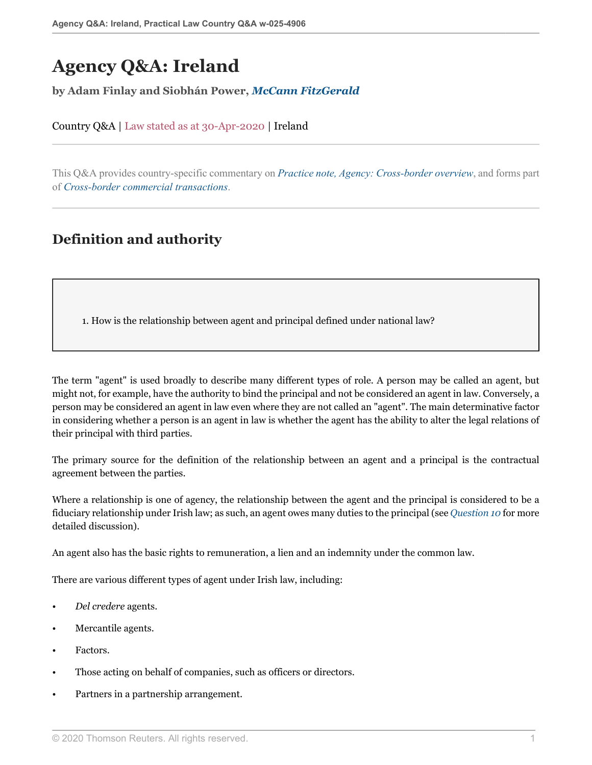# **Agency Q&A: Ireland**

**by Adam Finlay and Siobhán Power,** *[McCann FitzGerald](https://uk.practicallaw.thomsonreuters.com/Browse/Home/About/Contributor/McCannFitzGerald )*

Country Q&A | Law stated as at 30-Apr-2020 | Ireland

This Q&A provides country-specific commentary on *[Practice note, Agency: Cross-border overview](http://uk.practicallaw.thomsonreuters.com/7-107-4039?originationContext=document&vr=3.0&rs=PLUK1.0&transitionType=DocumentItem&contextData=(sc.Default))*, and forms part of *[Cross-border commercial transactions](https://uk.practicallaw.thomsonreuters.com/Browse/Home/International/Crossbordercommercialtransactions )*.

# **Definition and authority**

<span id="page-0-0"></span>1. How is the relationship between agent and principal defined under national law?

The term "agent" is used broadly to describe many different types of role. A person may be called an agent, but might not, for example, have the authority to bind the principal and not be considered an agent in law. Conversely, a person may be considered an agent in law even where they are not called an "agent". The main determinative factor in considering whether a person is an agent in law is whether the agent has the ability to alter the legal relations of their principal with third parties.

The primary source for the definition of the relationship between an agent and a principal is the contractual agreement between the parties.

Where a relationship is one of agency, the relationship between the agent and the principal is considered to be a fiduciary relationship under Irish law; as such, an agent owes many duties to the principal (see *[Question 10](#page-9-0)* for more detailed discussion).

An agent also has the basic rights to remuneration, a lien and an indemnity under the common law.

There are various different types of agent under Irish law, including:

- *Del credere* agents.
- Mercantile agents.
- Factors.
- Those acting on behalf of companies, such as officers or directors.
- Partners in a partnership arrangement.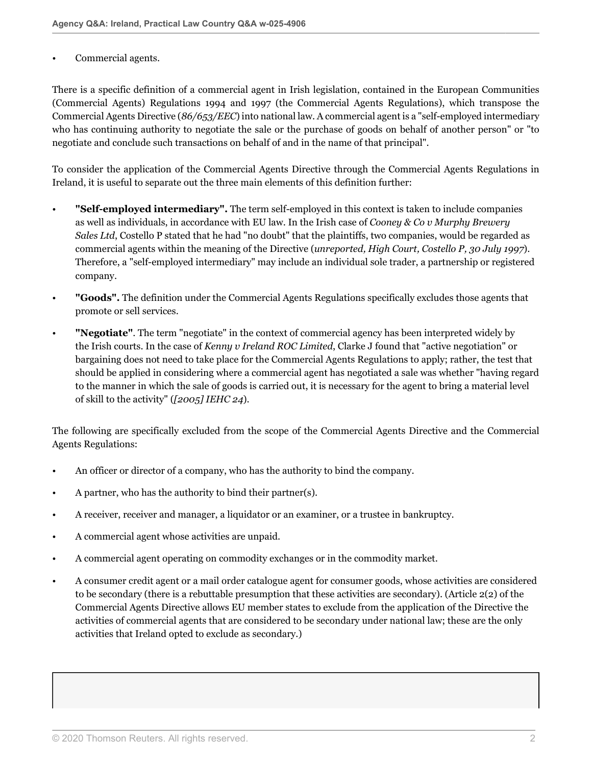#### Commercial agents.

There is a specific definition of a commercial agent in Irish legislation, contained in the European Communities (Commercial Agents) Regulations 1994 and 1997 (the Commercial Agents Regulations), which transpose the Commercial Agents Directive (*86/653/EEC*) into national law. A commercial agent is a "self-employed intermediary who has continuing authority to negotiate the sale or the purchase of goods on behalf of another person" or "to negotiate and conclude such transactions on behalf of and in the name of that principal".

To consider the application of the Commercial Agents Directive through the Commercial Agents Regulations in Ireland, it is useful to separate out the three main elements of this definition further:

- **"Self-employed intermediary".** The term self-employed in this context is taken to include companies as well as individuals, in accordance with EU law. In the Irish case of *Cooney & Co v Murphy Brewery Sales Ltd*, Costello P stated that he had "no doubt" that the plaintiffs, two companies, would be regarded as commercial agents within the meaning of the Directive (*unreported, High Court, Costello P, 30 July 1997*). Therefore, a "self-employed intermediary" may include an individual sole trader, a partnership or registered company.
- **"Goods".** The definition under the Commercial Agents Regulations specifically excludes those agents that promote or sell services.
- **"Negotiate"**. The term "negotiate" in the context of commercial agency has been interpreted widely by the Irish courts. In the case of *Kenny v Ireland ROC Limited*, Clarke J found that "active negotiation" or bargaining does not need to take place for the Commercial Agents Regulations to apply; rather, the test that should be applied in considering where a commercial agent has negotiated a sale was whether "having regard to the manner in which the sale of goods is carried out, it is necessary for the agent to bring a material level of skill to the activity" (*[2005] IEHC 24*).

The following are specifically excluded from the scope of the Commercial Agents Directive and the Commercial Agents Regulations:

- An officer or director of a company, who has the authority to bind the company.
- A partner, who has the authority to bind their partner(s).
- A receiver, receiver and manager, a liquidator or an examiner, or a trustee in bankruptcy.
- A commercial agent whose activities are unpaid.
- A commercial agent operating on commodity exchanges or in the commodity market.
- A consumer credit agent or a mail order catalogue agent for consumer goods, whose activities are considered to be secondary (there is a rebuttable presumption that these activities are secondary). (Article 2(2) of the Commercial Agents Directive allows EU member states to exclude from the application of the Directive the activities of commercial agents that are considered to be secondary under national law; these are the only activities that Ireland opted to exclude as secondary.)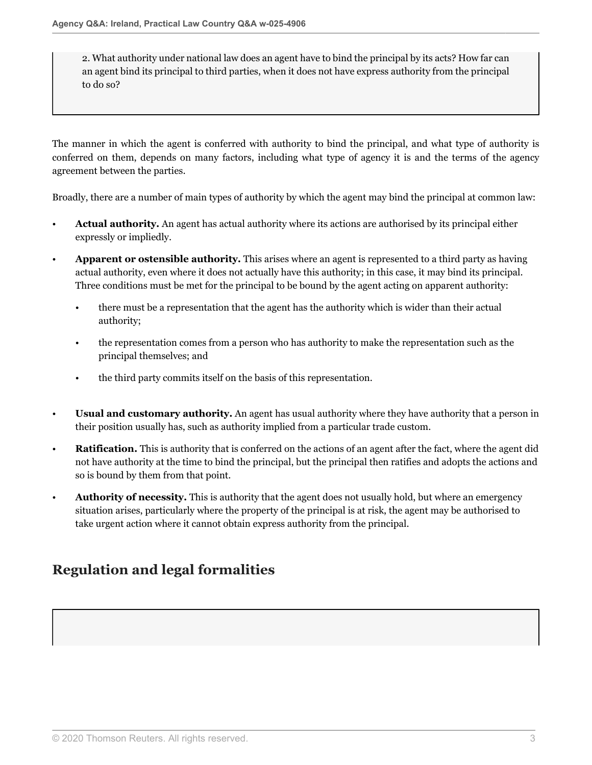2. What authority under national law does an agent have to bind the principal by its acts? How far can an agent bind its principal to third parties, when it does not have express authority from the principal to do so?

The manner in which the agent is conferred with authority to bind the principal, and what type of authority is conferred on them, depends on many factors, including what type of agency it is and the terms of the agency agreement between the parties.

Broadly, there are a number of main types of authority by which the agent may bind the principal at common law:

- **Actual authority.** An agent has actual authority where its actions are authorised by its principal either expressly or impliedly.
- **Apparent or ostensible authority.** This arises where an agent is represented to a third party as having actual authority, even where it does not actually have this authority; in this case, it may bind its principal. Three conditions must be met for the principal to be bound by the agent acting on apparent authority:
	- there must be a representation that the agent has the authority which is wider than their actual authority;
	- the representation comes from a person who has authority to make the representation such as the principal themselves; and
	- the third party commits itself on the basis of this representation.
- **Usual and customary authority.** An agent has usual authority where they have authority that a person in their position usually has, such as authority implied from a particular trade custom.
- **Ratification.** This is authority that is conferred on the actions of an agent after the fact, where the agent did not have authority at the time to bind the principal, but the principal then ratifies and adopts the actions and so is bound by them from that point.
- **Authority of necessity.** This is authority that the agent does not usually hold, but where an emergency situation arises, particularly where the property of the principal is at risk, the agent may be authorised to take urgent action where it cannot obtain express authority from the principal.

# **Regulation and legal formalities**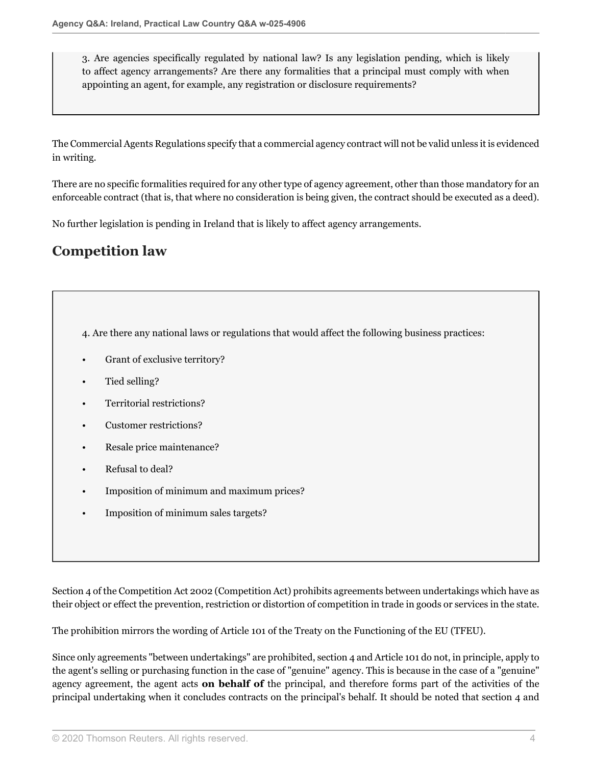3. Are agencies specifically regulated by national law? Is any legislation pending, which is likely to affect agency arrangements? Are there any formalities that a principal must comply with when appointing an agent, for example, any registration or disclosure requirements?

The Commercial Agents Regulations specify that a commercial agency contract will not be valid unless it is evidenced in writing.

There are no specific formalities required for any other type of agency agreement, other than those mandatory for an enforceable contract (that is, that where no consideration is being given, the contract should be executed as a deed).

No further legislation is pending in Ireland that is likely to affect agency arrangements.

# **Competition law**

<span id="page-3-0"></span>4. Are there any national laws or regulations that would affect the following business practices:

- Grant of exclusive territory?
- Tied selling?
- Territorial restrictions?
- Customer restrictions?
- Resale price maintenance?
- Refusal to deal?
- Imposition of minimum and maximum prices?
- Imposition of minimum sales targets?

Section 4 of the Competition Act 2002 (Competition Act) prohibits agreements between undertakings which have as their object or effect the prevention, restriction or distortion of competition in trade in goods or services in the state.

The prohibition mirrors the wording of Article 101 of the Treaty on the Functioning of the EU (TFEU).

Since only agreements "between undertakings" are prohibited, section 4 and Article 101 do not, in principle, apply to the agent's selling or purchasing function in the case of "genuine" agency. This is because in the case of a "genuine" agency agreement, the agent acts **on behalf of** the principal, and therefore forms part of the activities of the principal undertaking when it concludes contracts on the principal's behalf. It should be noted that section 4 and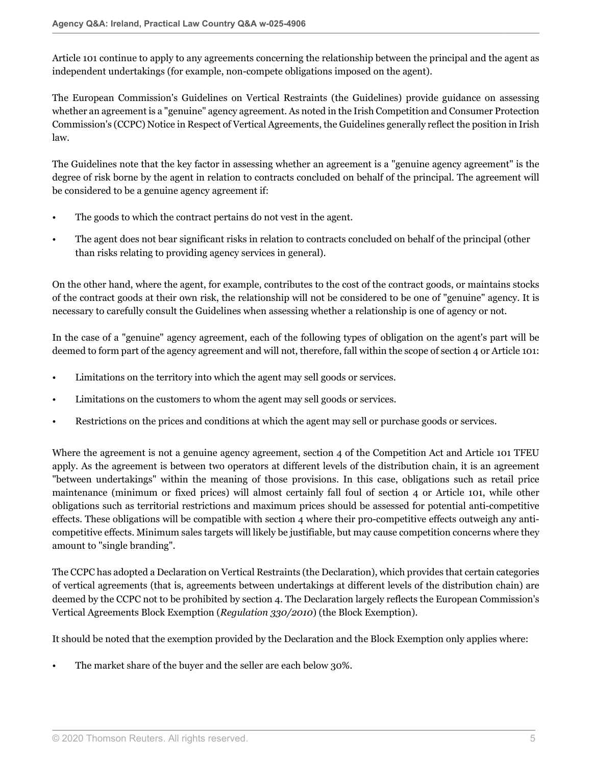Article 101 continue to apply to any agreements concerning the relationship between the principal and the agent as independent undertakings (for example, non-compete obligations imposed on the agent).

The European Commission's Guidelines on Vertical Restraints (the Guidelines) provide guidance on assessing whether an agreement is a "genuine" agency agreement. As noted in the Irish Competition and Consumer Protection Commission's (CCPC) Notice in Respect of Vertical Agreements, the Guidelines generally reflect the position in Irish law.

The Guidelines note that the key factor in assessing whether an agreement is a "genuine agency agreement" is the degree of risk borne by the agent in relation to contracts concluded on behalf of the principal. The agreement will be considered to be a genuine agency agreement if:

- The goods to which the contract pertains do not vest in the agent.
- The agent does not bear significant risks in relation to contracts concluded on behalf of the principal (other than risks relating to providing agency services in general).

On the other hand, where the agent, for example, contributes to the cost of the contract goods, or maintains stocks of the contract goods at their own risk, the relationship will not be considered to be one of "genuine" agency. It is necessary to carefully consult the Guidelines when assessing whether a relationship is one of agency or not.

In the case of a "genuine" agency agreement, each of the following types of obligation on the agent's part will be deemed to form part of the agency agreement and will not, therefore, fall within the scope of section 4 or Article 101:

- Limitations on the territory into which the agent may sell goods or services.
- Limitations on the customers to whom the agent may sell goods or services.
- Restrictions on the prices and conditions at which the agent may sell or purchase goods or services.

Where the agreement is not a genuine agency agreement, section 4 of the Competition Act and Article 101 TFEU apply. As the agreement is between two operators at different levels of the distribution chain, it is an agreement "between undertakings" within the meaning of those provisions. In this case, obligations such as retail price maintenance (minimum or fixed prices) will almost certainly fall foul of section 4 or Article 101, while other obligations such as territorial restrictions and maximum prices should be assessed for potential anti-competitive effects. These obligations will be compatible with section 4 where their pro-competitive effects outweigh any anticompetitive effects. Minimum sales targets will likely be justifiable, but may cause competition concerns where they amount to "single branding".

The CCPC has adopted a Declaration on Vertical Restraints (the Declaration), which provides that certain categories of vertical agreements (that is, agreements between undertakings at different levels of the distribution chain) are deemed by the CCPC not to be prohibited by section 4. The Declaration largely reflects the European Commission's Vertical Agreements Block Exemption (*Regulation 330/2010*) (the Block Exemption).

It should be noted that the exemption provided by the Declaration and the Block Exemption only applies where:

• The market share of the buyer and the seller are each below 30%.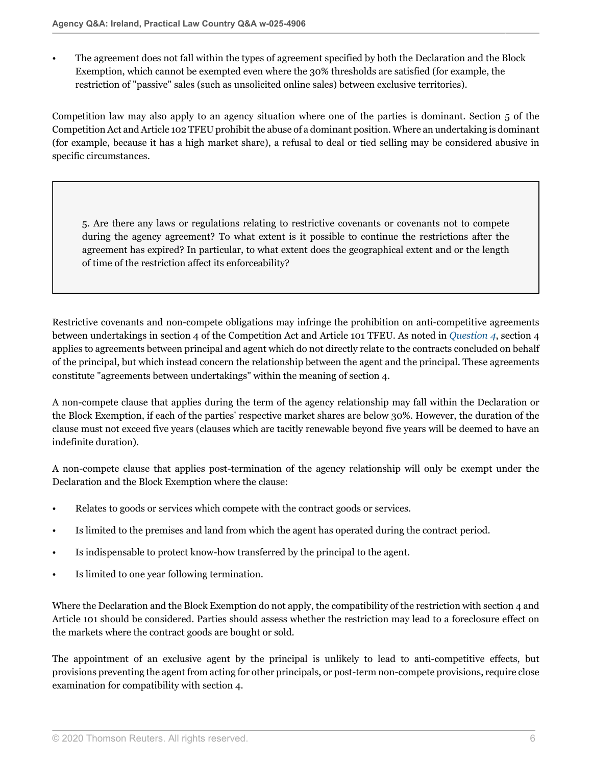• The agreement does not fall within the types of agreement specified by both the Declaration and the Block Exemption, which cannot be exempted even where the 30% thresholds are satisfied (for example, the restriction of "passive" sales (such as unsolicited online sales) between exclusive territories).

Competition law may also apply to an agency situation where one of the parties is dominant. Section 5 of the Competition Act and Article 102 TFEU prohibit the abuse of a dominant position. Where an undertaking is dominant (for example, because it has a high market share), a refusal to deal or tied selling may be considered abusive in specific circumstances.

5. Are there any laws or regulations relating to restrictive covenants or covenants not to compete during the agency agreement? To what extent is it possible to continue the restrictions after the agreement has expired? In particular, to what extent does the geographical extent and or the length of time of the restriction affect its enforceability?

Restrictive covenants and non-compete obligations may infringe the prohibition on anti-competitive agreements between undertakings in section 4 of the Competition Act and Article 101 TFEU. As noted in *[Question 4](#page-3-0)*, section 4 applies to agreements between principal and agent which do not directly relate to the contracts concluded on behalf of the principal, but which instead concern the relationship between the agent and the principal. These agreements constitute "agreements between undertakings" within the meaning of section 4.

A non-compete clause that applies during the term of the agency relationship may fall within the Declaration or the Block Exemption, if each of the parties' respective market shares are below 30%. However, the duration of the clause must not exceed five years (clauses which are tacitly renewable beyond five years will be deemed to have an indefinite duration).

A non-compete clause that applies post-termination of the agency relationship will only be exempt under the Declaration and the Block Exemption where the clause:

- Relates to goods or services which compete with the contract goods or services.
- Is limited to the premises and land from which the agent has operated during the contract period.
- Is indispensable to protect know-how transferred by the principal to the agent.
- Is limited to one year following termination.

Where the Declaration and the Block Exemption do not apply, the compatibility of the restriction with section 4 and Article 101 should be considered. Parties should assess whether the restriction may lead to a foreclosure effect on the markets where the contract goods are bought or sold.

The appointment of an exclusive agent by the principal is unlikely to lead to anti-competitive effects, but provisions preventing the agent from acting for other principals, or post-term non-compete provisions, require close examination for compatibility with section 4.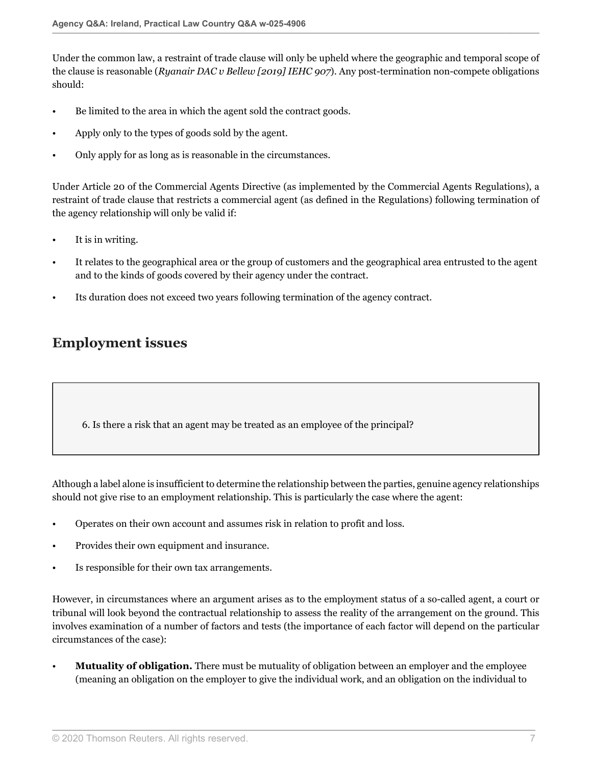Under the common law, a restraint of trade clause will only be upheld where the geographic and temporal scope of the clause is reasonable (*Ryanair DAC v Bellew [2019] IEHC 907*). Any post-termination non-compete obligations should:

- Be limited to the area in which the agent sold the contract goods.
- Apply only to the types of goods sold by the agent.
- Only apply for as long as is reasonable in the circumstances.

Under Article 20 of the Commercial Agents Directive (as implemented by the Commercial Agents Regulations), a restraint of trade clause that restricts a commercial agent (as defined in the Regulations) following termination of the agency relationship will only be valid if:

- It is in writing.
- It relates to the geographical area or the group of customers and the geographical area entrusted to the agent and to the kinds of goods covered by their agency under the contract.
- Its duration does not exceed two years following termination of the agency contract.

# **Employment issues**

6. Is there a risk that an agent may be treated as an employee of the principal?

Although a label alone is insufficient to determine the relationship between the parties, genuine agency relationships should not give rise to an employment relationship. This is particularly the case where the agent:

- Operates on their own account and assumes risk in relation to profit and loss.
- Provides their own equipment and insurance.
- Is responsible for their own tax arrangements.

However, in circumstances where an argument arises as to the employment status of a so-called agent, a court or tribunal will look beyond the contractual relationship to assess the reality of the arrangement on the ground. This involves examination of a number of factors and tests (the importance of each factor will depend on the particular circumstances of the case):

• **Mutuality of obligation.** There must be mutuality of obligation between an employer and the employee (meaning an obligation on the employer to give the individual work, and an obligation on the individual to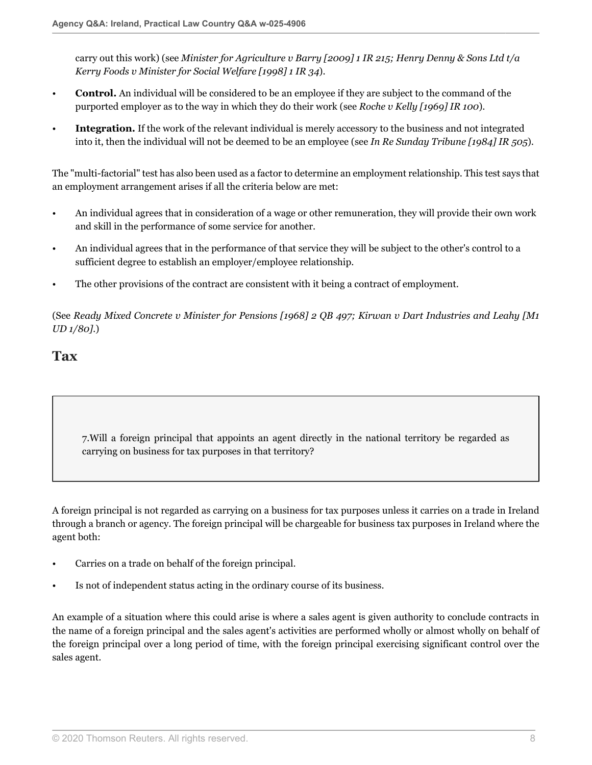carry out this work) (see *Minister for Agriculture v Barry [2009] 1 IR 215; Henry Denny & Sons Ltd t/a Kerry Foods v Minister for Social Welfare [1998] 1 IR 34*).

- **Control.** An individual will be considered to be an employee if they are subject to the command of the purported employer as to the way in which they do their work (see *Roche v Kelly [1969] IR 100*).
- **Integration.** If the work of the relevant individual is merely accessory to the business and not integrated into it, then the individual will not be deemed to be an employee (see *In Re Sunday Tribune [1984] IR 505*).

The "multi-factorial" test has also been used as a factor to determine an employment relationship. This test says that an employment arrangement arises if all the criteria below are met:

- An individual agrees that in consideration of a wage or other remuneration, they will provide their own work and skill in the performance of some service for another.
- An individual agrees that in the performance of that service they will be subject to the other's control to a sufficient degree to establish an employer/employee relationship.
- The other provisions of the contract are consistent with it being a contract of employment.

(See *Ready Mixed Concrete v Minister for Pensions [1968] 2 QB 497; Kirwan v Dart Industries and Leahy [M1 UD 1/80].*)

### **Tax**

7.Will a foreign principal that appoints an agent directly in the national territory be regarded as carrying on business for tax purposes in that territory?

A foreign principal is not regarded as carrying on a business for tax purposes unless it carries on a trade in Ireland through a branch or agency. The foreign principal will be chargeable for business tax purposes in Ireland where the agent both:

- Carries on a trade on behalf of the foreign principal.
- Is not of independent status acting in the ordinary course of its business.

An example of a situation where this could arise is where a sales agent is given authority to conclude contracts in the name of a foreign principal and the sales agent's activities are performed wholly or almost wholly on behalf of the foreign principal over a long period of time, with the foreign principal exercising significant control over the sales agent.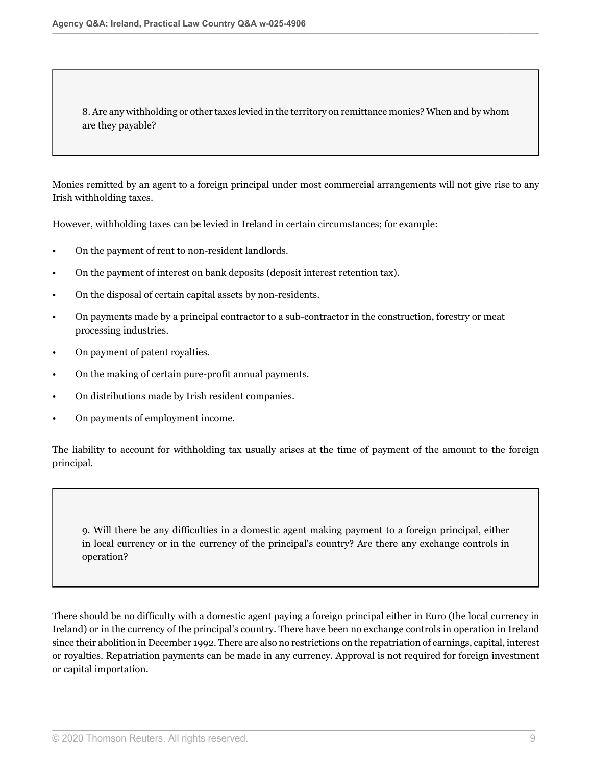8. Are any withholding or other taxes levied in the territory on remittance monies? When and by whom are they payable?

Monies remitted by an agent to a foreign principal under most commercial arrangements will not give rise to any Irish withholding taxes.

However, withholding taxes can be levied in Ireland in certain circumstances; for example:

- On the payment of rent to non-resident landlords.
- On the payment of interest on bank deposits (deposit interest retention tax).
- On the disposal of certain capital assets by non-residents.
- On payments made by a principal contractor to a sub-contractor in the construction, forestry or meat processing industries.
- On payment of patent royalties.
- On the making of certain pure-profit annual payments.
- On distributions made by Irish resident companies.
- On payments of employment income.

The liability to account for withholding tax usually arises at the time of payment of the amount to the foreign principal.

9. Will there be any difficulties in a domestic agent making payment to a foreign principal, either in local currency or in the currency of the principal's country? Are there any exchange controls in operation?

There should be no difficulty with a domestic agent paying a foreign principal either in Euro (the local currency in Ireland) or in the currency of the principal's country. There have been no exchange controls in operation in Ireland since their abolition in December 1992. There are also no restrictions on the repatriation of earnings, capital, interest or royalties. Repatriation payments can be made in any currency. Approval is not required for foreign investment or capital importation.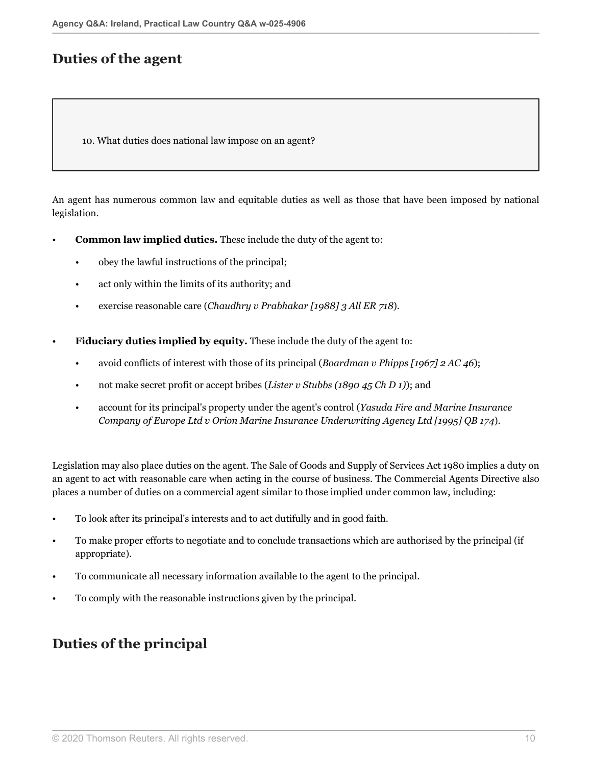# **Duties of the agent**

<span id="page-9-0"></span>10. What duties does national law impose on an agent?

An agent has numerous common law and equitable duties as well as those that have been imposed by national legislation.

- **Common law implied duties.** These include the duty of the agent to:
	- obey the lawful instructions of the principal;
	- act only within the limits of its authority; and
	- exercise reasonable care (*Chaudhry v Prabhakar [1988] 3 All ER 718*).
- **Fiduciary duties implied by equity.** These include the duty of the agent to:
	- avoid conflicts of interest with those of its principal (*Boardman v Phipps [1967] 2 AC 46*);
	- not make secret profit or accept bribes (*Lister v Stubbs (1890 45 Ch D 1)*); and
	- account for its principal's property under the agent's control (*Yasuda Fire and Marine Insurance Company of Europe Ltd v Orion Marine Insurance Underwriting Agency Ltd [1995] QB 174*).

Legislation may also place duties on the agent. The Sale of Goods and Supply of Services Act 1980 implies a duty on an agent to act with reasonable care when acting in the course of business. The Commercial Agents Directive also places a number of duties on a commercial agent similar to those implied under common law, including:

- To look after its principal's interests and to act dutifully and in good faith.
- To make proper efforts to negotiate and to conclude transactions which are authorised by the principal (if appropriate).
- To communicate all necessary information available to the agent to the principal.
- To comply with the reasonable instructions given by the principal.

# **Duties of the principal**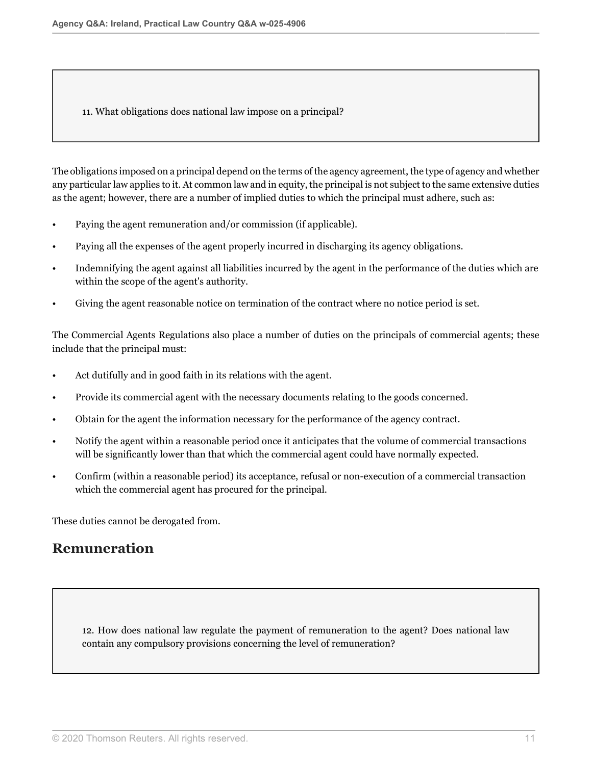11. What obligations does national law impose on a principal?

The obligations imposed on a principal depend on the terms of the agency agreement, the type of agency and whether any particular law applies to it. At common law and in equity, the principal is not subject to the same extensive duties as the agent; however, there are a number of implied duties to which the principal must adhere, such as:

- Paying the agent remuneration and/or commission (if applicable).
- Paying all the expenses of the agent properly incurred in discharging its agency obligations.
- Indemnifying the agent against all liabilities incurred by the agent in the performance of the duties which are within the scope of the agent's authority.
- Giving the agent reasonable notice on termination of the contract where no notice period is set.

The Commercial Agents Regulations also place a number of duties on the principals of commercial agents; these include that the principal must:

- Act dutifully and in good faith in its relations with the agent.
- Provide its commercial agent with the necessary documents relating to the goods concerned.
- Obtain for the agent the information necessary for the performance of the agency contract.
- Notify the agent within a reasonable period once it anticipates that the volume of commercial transactions will be significantly lower than that which the commercial agent could have normally expected.
- Confirm (within a reasonable period) its acceptance, refusal or non-execution of a commercial transaction which the commercial agent has procured for the principal.

These duties cannot be derogated from.

# **Remuneration**

<span id="page-10-0"></span>12. How does national law regulate the payment of remuneration to the agent? Does national law contain any compulsory provisions concerning the level of remuneration?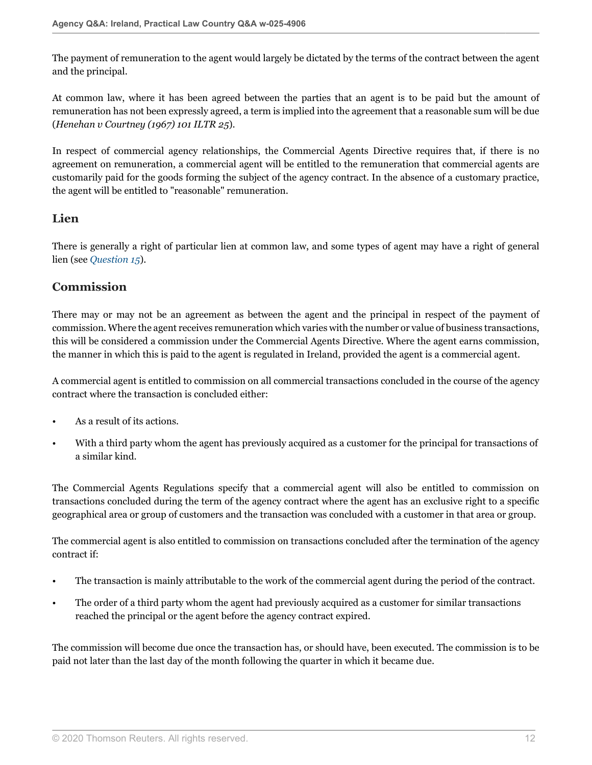The payment of remuneration to the agent would largely be dictated by the terms of the contract between the agent and the principal.

At common law, where it has been agreed between the parties that an agent is to be paid but the amount of remuneration has not been expressly agreed, a term is implied into the agreement that a reasonable sum will be due (*Henehan v Courtney (1967) 101 ILTR 25*).

In respect of commercial agency relationships, the Commercial Agents Directive requires that, if there is no agreement on remuneration, a commercial agent will be entitled to the remuneration that commercial agents are customarily paid for the goods forming the subject of the agency contract. In the absence of a customary practice, the agent will be entitled to "reasonable" remuneration.

#### **Lien**

There is generally a right of particular lien at common law, and some types of agent may have a right of general lien (see *[Question 15](#page-14-0)*).

#### **Commission**

There may or may not be an agreement as between the agent and the principal in respect of the payment of commission. Where the agent receives remuneration which varies with the number or value of business transactions, this will be considered a commission under the Commercial Agents Directive. Where the agent earns commission, the manner in which this is paid to the agent is regulated in Ireland, provided the agent is a commercial agent.

A commercial agent is entitled to commission on all commercial transactions concluded in the course of the agency contract where the transaction is concluded either:

- As a result of its actions.
- With a third party whom the agent has previously acquired as a customer for the principal for transactions of a similar kind.

The Commercial Agents Regulations specify that a commercial agent will also be entitled to commission on transactions concluded during the term of the agency contract where the agent has an exclusive right to a specific geographical area or group of customers and the transaction was concluded with a customer in that area or group.

The commercial agent is also entitled to commission on transactions concluded after the termination of the agency contract if:

- The transaction is mainly attributable to the work of the commercial agent during the period of the contract.
- The order of a third party whom the agent had previously acquired as a customer for similar transactions reached the principal or the agent before the agency contract expired.

The commission will become due once the transaction has, or should have, been executed. The commission is to be paid not later than the last day of the month following the quarter in which it became due.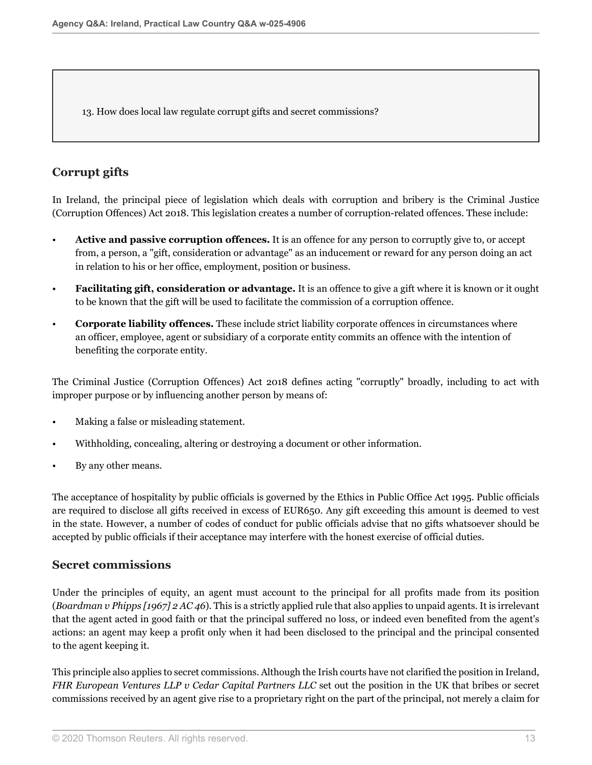<span id="page-12-0"></span>13. How does local law regulate corrupt gifts and secret commissions?

### **Corrupt gifts**

In Ireland, the principal piece of legislation which deals with corruption and bribery is the Criminal Justice (Corruption Offences) Act 2018. This legislation creates a number of corruption-related offences. These include:

- **Active and passive corruption offences.** It is an offence for any person to corruptly give to, or accept from, a person, a "gift, consideration or advantage" as an inducement or reward for any person doing an act in relation to his or her office, employment, position or business.
- **Facilitating gift, consideration or advantage.** It is an offence to give a gift where it is known or it ought to be known that the gift will be used to facilitate the commission of a corruption offence.
- **Corporate liability offences.** These include strict liability corporate offences in circumstances where an officer, employee, agent or subsidiary of a corporate entity commits an offence with the intention of benefiting the corporate entity.

The Criminal Justice (Corruption Offences) Act 2018 defines acting "corruptly" broadly, including to act with improper purpose or by influencing another person by means of:

- Making a false or misleading statement.
- Withholding, concealing, altering or destroying a document or other information.
- By any other means.

The acceptance of hospitality by public officials is governed by the Ethics in Public Office Act 1995. Public officials are required to disclose all gifts received in excess of EUR650. Any gift exceeding this amount is deemed to vest in the state. However, a number of codes of conduct for public officials advise that no gifts whatsoever should be accepted by public officials if their acceptance may interfere with the honest exercise of official duties.

#### **Secret commissions**

Under the principles of equity, an agent must account to the principal for all profits made from its position (*Boardman v Phipps [1967] 2 AC 46*). This is a strictly applied rule that also applies to unpaid agents. It is irrelevant that the agent acted in good faith or that the principal suffered no loss, or indeed even benefited from the agent's actions: an agent may keep a profit only when it had been disclosed to the principal and the principal consented to the agent keeping it.

This principle also applies to secret commissions. Although the Irish courts have not clarified the position in Ireland, *FHR European Ventures LLP v Cedar Capital Partners LLC* set out the position in the UK that bribes or secret commissions received by an agent give rise to a proprietary right on the part of the principal, not merely a claim for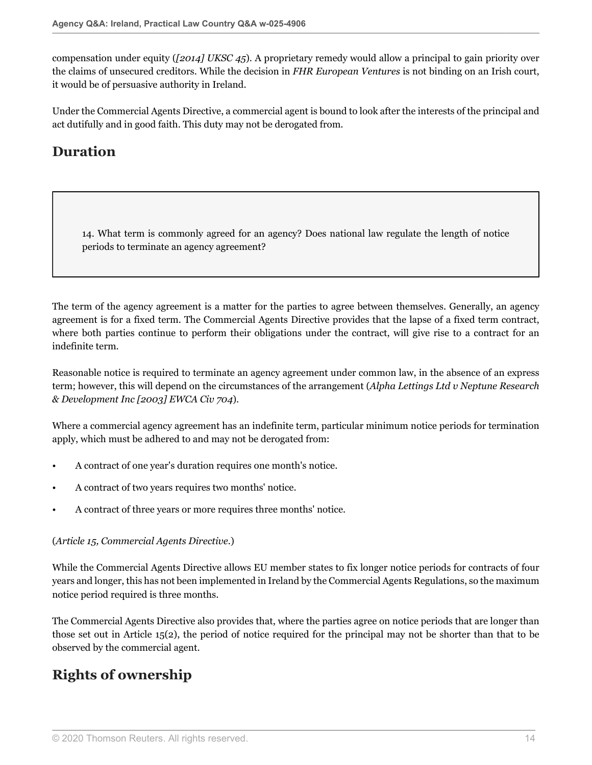compensation under equity (*[2014] UKSC 45*). A proprietary remedy would allow a principal to gain priority over the claims of unsecured creditors. While the decision in *FHR European Ventures* is not binding on an Irish court, it would be of persuasive authority in Ireland.

Under the Commercial Agents Directive, a commercial agent is bound to look after the interests of the principal and act dutifully and in good faith. This duty may not be derogated from.

# **Duration**

<span id="page-13-0"></span>14. What term is commonly agreed for an agency? Does national law regulate the length of notice periods to terminate an agency agreement?

The term of the agency agreement is a matter for the parties to agree between themselves. Generally, an agency agreement is for a fixed term. The Commercial Agents Directive provides that the lapse of a fixed term contract, where both parties continue to perform their obligations under the contract, will give rise to a contract for an indefinite term.

Reasonable notice is required to terminate an agency agreement under common law, in the absence of an express term; however, this will depend on the circumstances of the arrangement (*Alpha Lettings Ltd v Neptune Research & Development Inc [2003] EWCA Civ 704*).

Where a commercial agency agreement has an indefinite term, particular minimum notice periods for termination apply, which must be adhered to and may not be derogated from:

- A contract of one year's duration requires one month's notice.
- A contract of two years requires two months' notice.
- A contract of three years or more requires three months' notice.

#### (*Article 15, Commercial Agents Directive.*)

While the Commercial Agents Directive allows EU member states to fix longer notice periods for contracts of four years and longer, this has not been implemented in Ireland by the Commercial Agents Regulations, so the maximum notice period required is three months.

The Commercial Agents Directive also provides that, where the parties agree on notice periods that are longer than those set out in Article 15(2), the period of notice required for the principal may not be shorter than that to be observed by the commercial agent.

# **Rights of ownership**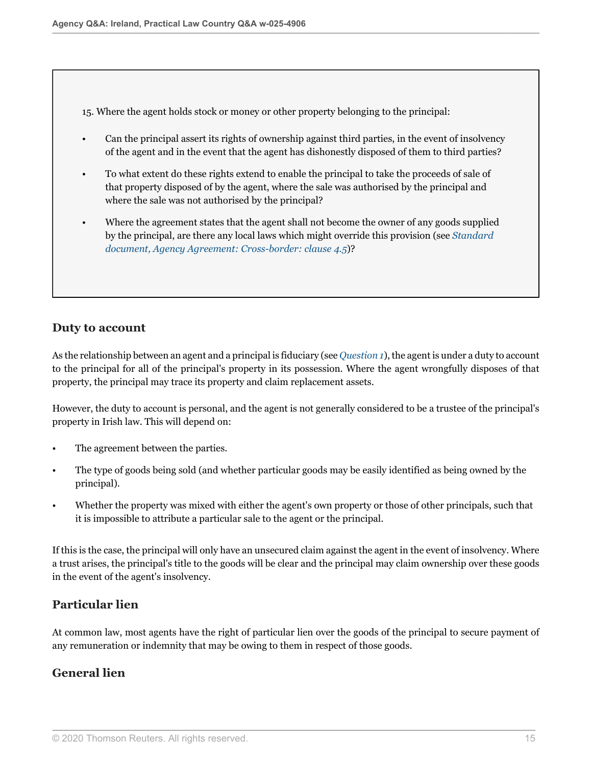<span id="page-14-0"></span>15. Where the agent holds stock or money or other property belonging to the principal:

- Can the principal assert its rights of ownership against third parties, in the event of insolvency of the agent and in the event that the agent has dishonestly disposed of them to third parties?
- To what extent do these rights extend to enable the principal to take the proceeds of sale of that property disposed of by the agent, where the sale was authorised by the principal and where the sale was not authorised by the principal?
- Where the agreement states that the agent shall not become the owner of any goods supplied by the principal, are there any local laws which might override this provision (see *[Standard](http://uk.practicallaw.thomsonreuters.com/4-101-7451?originationContext=document&vr=3.0&rs=PLUK1.0&transitionType=DocumentItem&contextData=(sc.Default)#co_anchor_a998121) [document, Agency Agreement: Cross-border: clause 4.5](http://uk.practicallaw.thomsonreuters.com/4-101-7451?originationContext=document&vr=3.0&rs=PLUK1.0&transitionType=DocumentItem&contextData=(sc.Default)#co_anchor_a998121)*)?

#### **Duty to account**

As the relationship between an agent and a principal is fiduciary (see *[Question 1](#page-0-0)*), the agent is under a duty to account to the principal for all of the principal's property in its possession. Where the agent wrongfully disposes of that property, the principal may trace its property and claim replacement assets.

However, the duty to account is personal, and the agent is not generally considered to be a trustee of the principal's property in Irish law. This will depend on:

- The agreement between the parties.
- The type of goods being sold (and whether particular goods may be easily identified as being owned by the principal).
- Whether the property was mixed with either the agent's own property or those of other principals, such that it is impossible to attribute a particular sale to the agent or the principal.

If this is the case, the principal will only have an unsecured claim against the agent in the event of insolvency. Where a trust arises, the principal's title to the goods will be clear and the principal may claim ownership over these goods in the event of the agent's insolvency.

#### **Particular lien**

At common law, most agents have the right of particular lien over the goods of the principal to secure payment of any remuneration or indemnity that may be owing to them in respect of those goods.

#### **General lien**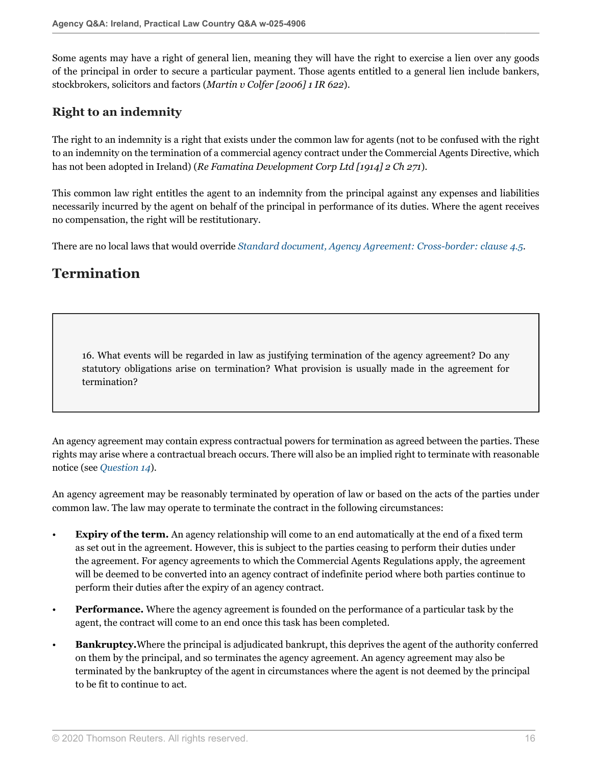Some agents may have a right of general lien, meaning they will have the right to exercise a lien over any goods of the principal in order to secure a particular payment. Those agents entitled to a general lien include bankers, stockbrokers, solicitors and factors (*Martin v Colfer [2006] 1 IR 622*).

### **Right to an indemnity**

The right to an indemnity is a right that exists under the common law for agents (not to be confused with the right to an indemnity on the termination of a commercial agency contract under the Commercial Agents Directive, which has not been adopted in Ireland) (*Re Famatina Development Corp Ltd [1914] 2 Ch 271*).

This common law right entitles the agent to an indemnity from the principal against any expenses and liabilities necessarily incurred by the agent on behalf of the principal in performance of its duties. Where the agent receives no compensation, the right will be restitutionary.

There are no local laws that would override *[Standard document, Agency Agreement: Cross-border: clause 4.5](http://uk.practicallaw.thomsonreuters.com/4-101-7451?originationContext=document&vr=3.0&rs=PLUK1.0&transitionType=DocumentItem&contextData=(sc.Default)#co_anchor_a998121)*.

# **Termination**

16. What events will be regarded in law as justifying termination of the agency agreement? Do any statutory obligations arise on termination? What provision is usually made in the agreement for termination?

An agency agreement may contain express contractual powers for termination as agreed between the parties. These rights may arise where a contractual breach occurs. There will also be an implied right to terminate with reasonable notice (see *[Question 14](#page-13-0)*).

An agency agreement may be reasonably terminated by operation of law or based on the acts of the parties under common law. The law may operate to terminate the contract in the following circumstances:

- **Expiry of the term.** An agency relationship will come to an end automatically at the end of a fixed term as set out in the agreement. However, this is subject to the parties ceasing to perform their duties under the agreement. For agency agreements to which the Commercial Agents Regulations apply, the agreement will be deemed to be converted into an agency contract of indefinite period where both parties continue to perform their duties after the expiry of an agency contract.
- **Performance.** Where the agency agreement is founded on the performance of a particular task by the agent, the contract will come to an end once this task has been completed.
- **Bankruptcy.**Where the principal is adjudicated bankrupt, this deprives the agent of the authority conferred on them by the principal, and so terminates the agency agreement. An agency agreement may also be terminated by the bankruptcy of the agent in circumstances where the agent is not deemed by the principal to be fit to continue to act.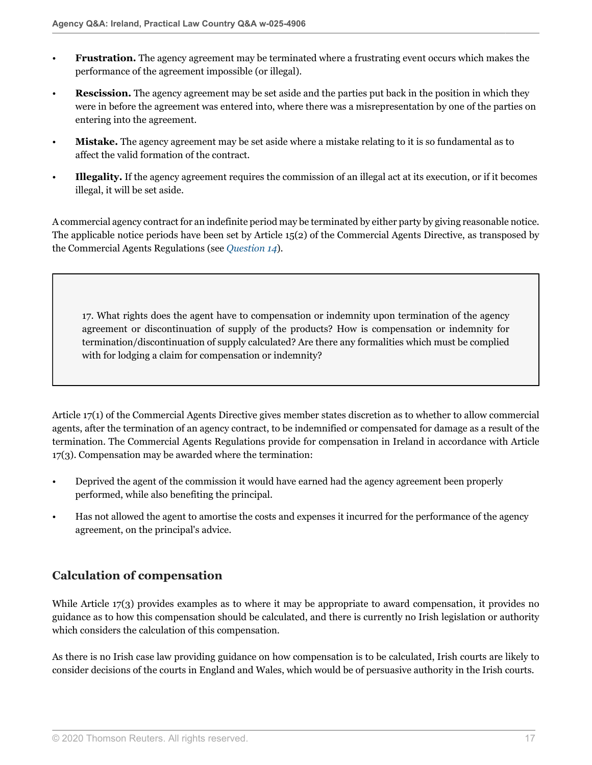- **Frustration.** The agency agreement may be terminated where a frustrating event occurs which makes the performance of the agreement impossible (or illegal).
- **Rescission.** The agency agreement may be set aside and the parties put back in the position in which they were in before the agreement was entered into, where there was a misrepresentation by one of the parties on entering into the agreement.
- **Mistake.** The agency agreement may be set aside where a mistake relating to it is so fundamental as to affect the valid formation of the contract.
- **Illegality.** If the agency agreement requires the commission of an illegal act at its execution, or if it becomes illegal, it will be set aside.

A commercial agency contract for an indefinite period may be terminated by either party by giving reasonable notice. The applicable notice periods have been set by Article 15(2) of the Commercial Agents Directive, as transposed by the Commercial Agents Regulations (see *[Question 14](#page-13-0)*).

17. What rights does the agent have to compensation or indemnity upon termination of the agency agreement or discontinuation of supply of the products? How is compensation or indemnity for termination/discontinuation of supply calculated? Are there any formalities which must be complied with for lodging a claim for compensation or indemnity?

Article 17(1) of the Commercial Agents Directive gives member states discretion as to whether to allow commercial agents, after the termination of an agency contract, to be indemnified or compensated for damage as a result of the termination. The Commercial Agents Regulations provide for compensation in Ireland in accordance with Article 17(3). Compensation may be awarded where the termination:

- Deprived the agent of the commission it would have earned had the agency agreement been properly performed, while also benefiting the principal.
- Has not allowed the agent to amortise the costs and expenses it incurred for the performance of the agency agreement, on the principal's advice.

# **Calculation of compensation**

While Article 17(3) provides examples as to where it may be appropriate to award compensation, it provides no guidance as to how this compensation should be calculated, and there is currently no Irish legislation or authority which considers the calculation of this compensation.

As there is no Irish case law providing guidance on how compensation is to be calculated, Irish courts are likely to consider decisions of the courts in England and Wales, which would be of persuasive authority in the Irish courts.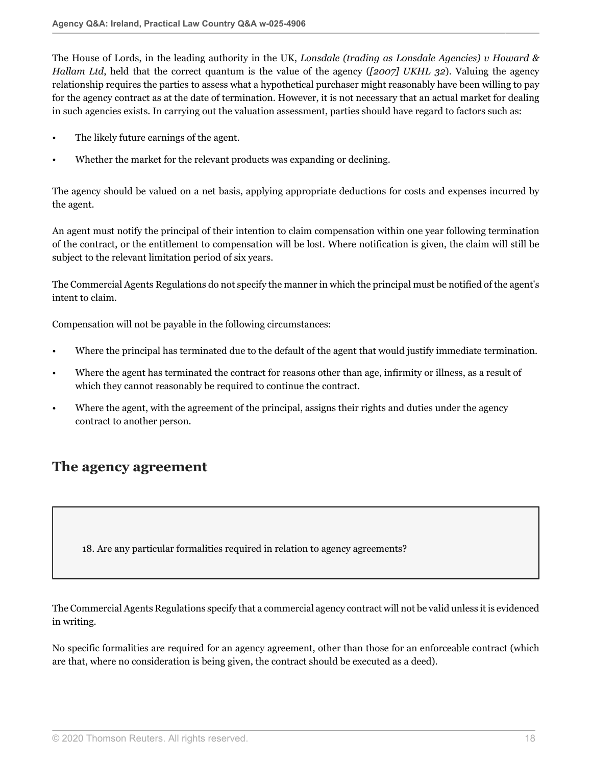The House of Lords, in the leading authority in the UK, *Lonsdale (trading as Lonsdale Agencies) v Howard & Hallam Ltd*, held that the correct quantum is the value of the agency (*[2007] UKHL 32*). Valuing the agency relationship requires the parties to assess what a hypothetical purchaser might reasonably have been willing to pay for the agency contract as at the date of termination. However, it is not necessary that an actual market for dealing in such agencies exists. In carrying out the valuation assessment, parties should have regard to factors such as:

- The likely future earnings of the agent.
- Whether the market for the relevant products was expanding or declining.

The agency should be valued on a net basis, applying appropriate deductions for costs and expenses incurred by the agent.

An agent must notify the principal of their intention to claim compensation within one year following termination of the contract, or the entitlement to compensation will be lost. Where notification is given, the claim will still be subject to the relevant limitation period of six years.

The Commercial Agents Regulations do not specify the manner in which the principal must be notified of the agent's intent to claim.

Compensation will not be payable in the following circumstances:

- Where the principal has terminated due to the default of the agent that would justify immediate termination.
- Where the agent has terminated the contract for reasons other than age, infirmity or illness, as a result of which they cannot reasonably be required to continue the contract.
- Where the agent, with the agreement of the principal, assigns their rights and duties under the agency contract to another person.

# **The agency agreement**

18. Are any particular formalities required in relation to agency agreements?

The Commercial Agents Regulations specify that a commercial agency contract will not be valid unless it is evidenced in writing.

No specific formalities are required for an agency agreement, other than those for an enforceable contract (which are that, where no consideration is being given, the contract should be executed as a deed).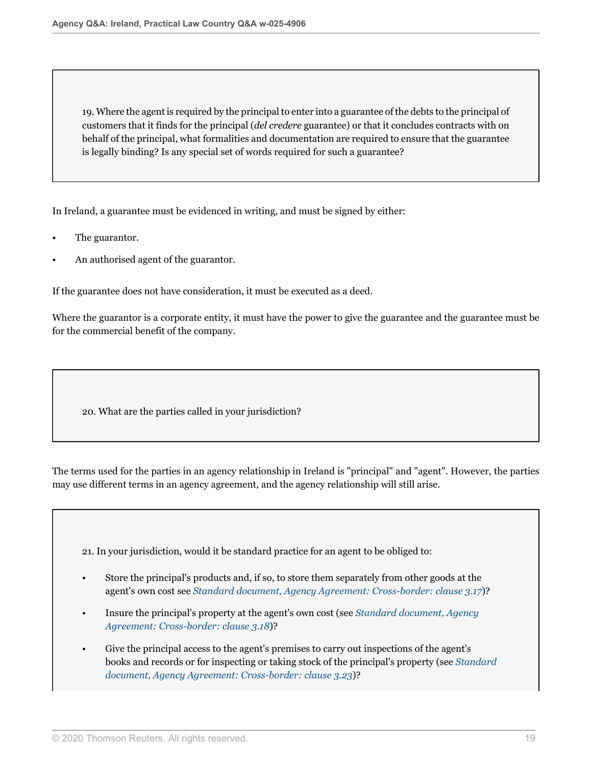19. Where the agent is required by the principal to enter into a guarantee of the debts to the principal of customers that it finds for the principal (*del credere* guarantee) or that it concludes contracts with on behalf of the principal, what formalities and documentation are required to ensure that the guarantee is legally binding? Is any special set of words required for such a guarantee?

In Ireland, a guarantee must be evidenced in writing, and must be signed by either:

- The guarantor.
- An authorised agent of the guarantor.

If the guarantee does not have consideration, it must be executed as a deed.

Where the guarantor is a corporate entity, it must have the power to give the guarantee and the guarantee must be for the commercial benefit of the company.

20. What are the parties called in your jurisdiction?

The terms used for the parties in an agency relationship in Ireland is "principal" and "agent". However, the parties may use different terms in an agency agreement, and the agency relationship will still arise.

21. In your jurisdiction, would it be standard practice for an agent to be obliged to:

- Store the principal's products and, if so, to store them separately from other goods at the agent's own cost see *[Standard document, Agency Agreement: Cross-border: clause 3.17](http://uk.practicallaw.thomsonreuters.com/4-101-7451?originationContext=document&vr=3.0&rs=PLUK1.0&transitionType=DocumentItem&contextData=(sc.Default)#co_anchor_a835311)*)?
- Insure the principal's property at the agent's own cost (see *[Standard document, Agency](http://uk.practicallaw.thomsonreuters.com/4-101-7451?originationContext=document&vr=3.0&rs=PLUK1.0&transitionType=DocumentItem&contextData=(sc.Default)#co_anchor_a1008803) [Agreement: Cross-border: clause 3.18](http://uk.practicallaw.thomsonreuters.com/4-101-7451?originationContext=document&vr=3.0&rs=PLUK1.0&transitionType=DocumentItem&contextData=(sc.Default)#co_anchor_a1008803)*)?
- Give the principal access to the agent's premises to carry out inspections of the agent's books and records or for inspecting or taking stock of the principal's property (see *[Standard](http://uk.practicallaw.thomsonreuters.com/4-101-7451?originationContext=document&vr=3.0&rs=PLUK1.0&transitionType=DocumentItem&contextData=(sc.Default)#co_anchor_a660364) [document, Agency Agreement: Cross-border: clause 3.23](http://uk.practicallaw.thomsonreuters.com/4-101-7451?originationContext=document&vr=3.0&rs=PLUK1.0&transitionType=DocumentItem&contextData=(sc.Default)#co_anchor_a660364)*)?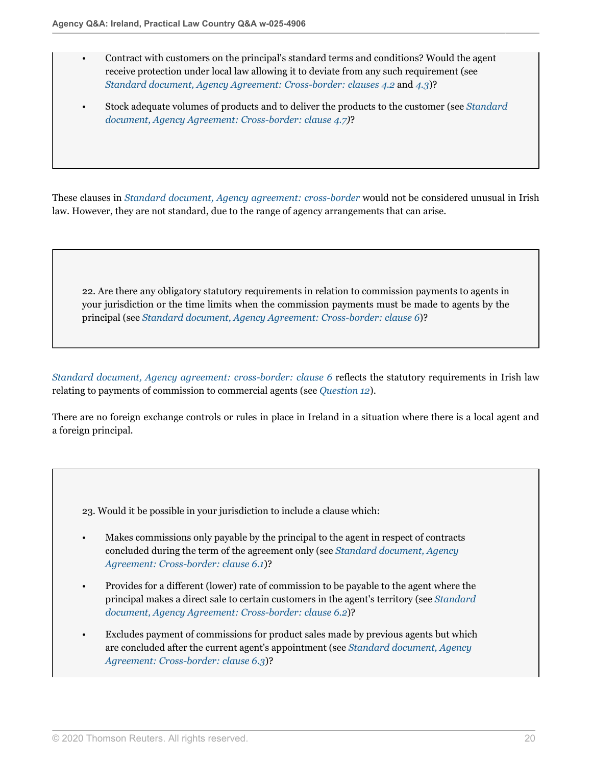- Contract with customers on the principal's standard terms and conditions? Would the agent receive protection under local law allowing it to deviate from any such requirement (see *[Standard document, Agency Agreement: Cross-border: clauses 4.2](http://uk.practicallaw.thomsonreuters.com/4-101-7451?originationContext=document&vr=3.0&rs=PLUK1.0&transitionType=DocumentItem&contextData=(sc.Default)#co_anchor_a632366)* and *[4.3](http://uk.practicallaw.thomsonreuters.com/4-101-7451?originationContext=document&vr=3.0&rs=PLUK1.0&transitionType=DocumentItem&contextData=(sc.Default)#co_anchor_a617639)*)?
- Stock adequate volumes of products and to deliver the products to the customer (see *[Standard](http://uk.practicallaw.thomsonreuters.com/4-101-7451?originationContext=document&vr=3.0&rs=PLUK1.0&transitionType=DocumentItem&contextData=(sc.Default)#co_anchor_a891308) [document, Agency Agreement: Cross-border: clause 4.7\)](http://uk.practicallaw.thomsonreuters.com/4-101-7451?originationContext=document&vr=3.0&rs=PLUK1.0&transitionType=DocumentItem&contextData=(sc.Default)#co_anchor_a891308)*?

These clauses in *[Standard document, Agency agreement: cross-border](http://uk.practicallaw.thomsonreuters.com/4-101-7451?originationContext=document&vr=3.0&rs=PLUK1.0&transitionType=DocumentItem&contextData=(sc.Default))* would not be considered unusual in Irish law. However, they are not standard, due to the range of agency arrangements that can arise.

22. Are there any obligatory statutory requirements in relation to commission payments to agents in your jurisdiction or the time limits when the commission payments must be made to agents by the principal (see *[Standard document, Agency Agreement: Cross-border: clause 6](http://uk.practicallaw.thomsonreuters.com/4-101-7451?originationContext=document&vr=3.0&rs=PLUK1.0&transitionType=DocumentItem&contextData=(sc.Default)#co_anchor_a564232)*)?

*[Standard document, Agency agreement: cross-border: clause 6](http://uk.practicallaw.thomsonreuters.com/4-101-7451?originationContext=document&vr=3.0&rs=PLUK1.0&transitionType=DocumentItem&contextData=(sc.Default)#co_anchor_a564232)* reflects the statutory requirements in Irish law relating to payments of commission to commercial agents (see *[Question 12](#page-10-0)*).

There are no foreign exchange controls or rules in place in Ireland in a situation where there is a local agent and a foreign principal.

23. Would it be possible in your jurisdiction to include a clause which:

- Makes commissions only payable by the principal to the agent in respect of contracts concluded during the term of the agreement only (see *[Standard document, Agency](http://uk.practicallaw.thomsonreuters.com/4-101-7451?originationContext=document&vr=3.0&rs=PLUK1.0&transitionType=DocumentItem&contextData=(sc.Default)#co_anchor_a87618) [Agreement: Cross-border: clause 6.1](http://uk.practicallaw.thomsonreuters.com/4-101-7451?originationContext=document&vr=3.0&rs=PLUK1.0&transitionType=DocumentItem&contextData=(sc.Default)#co_anchor_a87618)*)?
- Provides for a different (lower) rate of commission to be payable to the agent where the principal makes a direct sale to certain customers in the agent's territory (see *[Standard](http://uk.practicallaw.thomsonreuters.com/4-101-7451?originationContext=document&vr=3.0&rs=PLUK1.0&transitionType=DocumentItem&contextData=(sc.Default)#co_anchor_a950531) [document, Agency Agreement: Cross-border: clause 6.2](http://uk.practicallaw.thomsonreuters.com/4-101-7451?originationContext=document&vr=3.0&rs=PLUK1.0&transitionType=DocumentItem&contextData=(sc.Default)#co_anchor_a950531)*)?
- Excludes payment of commissions for product sales made by previous agents but which are concluded after the current agent's appointment (see *[Standard document, Agency](http://uk.practicallaw.thomsonreuters.com/4-101-7451?originationContext=document&vr=3.0&rs=PLUK1.0&transitionType=DocumentItem&contextData=(sc.Default)#co_anchor_a679453) [Agreement: Cross-border: clause 6.3](http://uk.practicallaw.thomsonreuters.com/4-101-7451?originationContext=document&vr=3.0&rs=PLUK1.0&transitionType=DocumentItem&contextData=(sc.Default)#co_anchor_a679453)*)?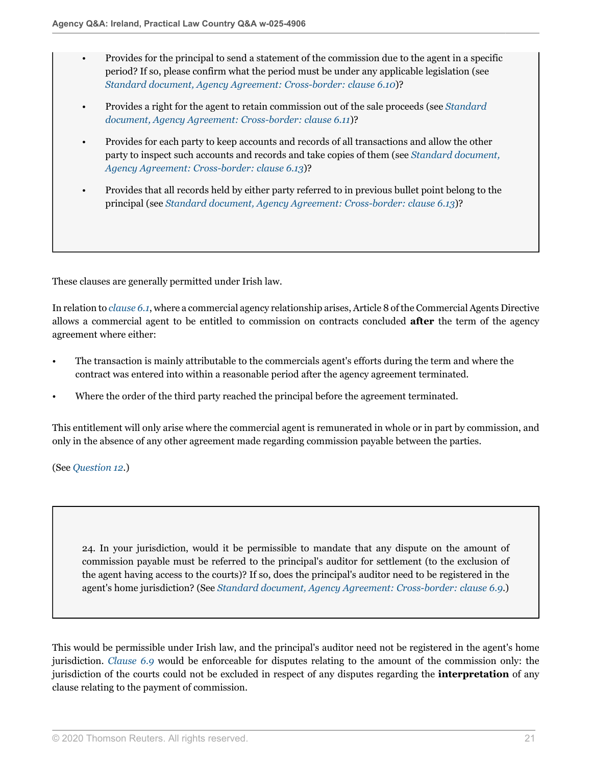- Provides for the principal to send a statement of the commission due to the agent in a specific period? If so, please confirm what the period must be under any applicable legislation (see *[Standard document, Agency Agreement: Cross-border: clause 6.10](http://uk.practicallaw.thomsonreuters.com/4-101-7451?originationContext=document&vr=3.0&rs=PLUK1.0&transitionType=DocumentItem&contextData=(sc.Default)#co_anchor_a156068)*)?
- Provides a right for the agent to retain commission out of the sale proceeds (see *[Standard](http://uk.practicallaw.thomsonreuters.com/4-101-7451?originationContext=document&vr=3.0&rs=PLUK1.0&transitionType=DocumentItem&contextData=(sc.Default)#co_anchor_a96025) [document, Agency Agreement: Cross-border: clause 6.11](http://uk.practicallaw.thomsonreuters.com/4-101-7451?originationContext=document&vr=3.0&rs=PLUK1.0&transitionType=DocumentItem&contextData=(sc.Default)#co_anchor_a96025)*)?
- Provides for each party to keep accounts and records of all transactions and allow the other party to inspect such accounts and records and take copies of them (see *[Standard document,](http://uk.practicallaw.thomsonreuters.com/4-101-7451?originationContext=document&vr=3.0&rs=PLUK1.0&transitionType=DocumentItem&contextData=(sc.Default)#co_anchor_a907806) [Agency Agreement: Cross-border: clause 6.13](http://uk.practicallaw.thomsonreuters.com/4-101-7451?originationContext=document&vr=3.0&rs=PLUK1.0&transitionType=DocumentItem&contextData=(sc.Default)#co_anchor_a907806)*)?
- Provides that all records held by either party referred to in previous bullet point belong to the principal (see *[Standard document, Agency Agreement: Cross-border: clause 6.13](http://uk.practicallaw.thomsonreuters.com/4-101-7451?originationContext=document&vr=3.0&rs=PLUK1.0&transitionType=DocumentItem&contextData=(sc.Default)#co_anchor_a907806)*)?

These clauses are generally permitted under Irish law.

In relation to *[clause 6.1](http://uk.practicallaw.thomsonreuters.com/4-101-7451?originationContext=document&vr=3.0&rs=PLUK1.0&transitionType=DocumentItem&contextData=(sc.Default)#co_anchor_a87618)*, where a commercial agency relationship arises, Article 8 of the Commercial Agents Directive allows a commercial agent to be entitled to commission on contracts concluded **after** the term of the agency agreement where either:

- The transaction is mainly attributable to the commercials agent's efforts during the term and where the contract was entered into within a reasonable period after the agency agreement terminated.
- Where the order of the third party reached the principal before the agreement terminated.

This entitlement will only arise where the commercial agent is remunerated in whole or in part by commission, and only in the absence of any other agreement made regarding commission payable between the parties.

(See *[Question 12](#page-10-0)*.)

24. In your jurisdiction, would it be permissible to mandate that any dispute on the amount of commission payable must be referred to the principal's auditor for settlement (to the exclusion of the agent having access to the courts)? If so, does the principal's auditor need to be registered in the agent's home jurisdiction? (See *[Standard document, Agency Agreement: Cross-border: clause 6.9](http://uk.practicallaw.thomsonreuters.com/4-101-7451?originationContext=document&vr=3.0&rs=PLUK1.0&transitionType=DocumentItem&contextData=(sc.Default)#co_anchor_a213520)*.)

This would be permissible under Irish law, and the principal's auditor need not be registered in the agent's home jurisdiction. *[Clause 6.9](http://uk.practicallaw.thomsonreuters.com/4-101-7451?originationContext=document&vr=3.0&rs=PLUK1.0&transitionType=DocumentItem&contextData=(sc.Default)#co_anchor_a213520)* would be enforceable for disputes relating to the amount of the commission only: the jurisdiction of the courts could not be excluded in respect of any disputes regarding the **interpretation** of any clause relating to the payment of commission.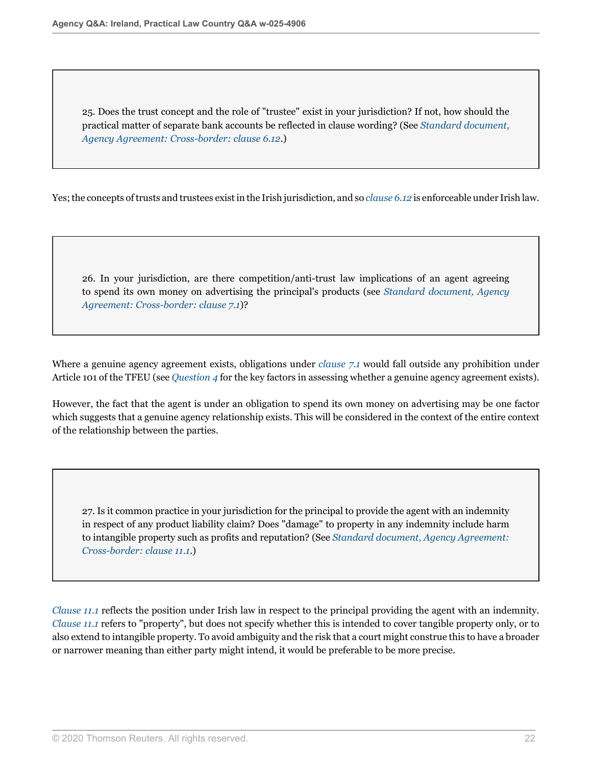25. Does the trust concept and the role of "trustee" exist in your jurisdiction? If not, how should the practical matter of separate bank accounts be reflected in clause wording? (See *[Standard document,](http://uk.practicallaw.thomsonreuters.com/4-101-7451?originationContext=document&vr=3.0&rs=PLUK1.0&transitionType=DocumentItem&contextData=(sc.Default)#co_anchor_a452554) [Agency Agreement: Cross-border: clause 6.12](http://uk.practicallaw.thomsonreuters.com/4-101-7451?originationContext=document&vr=3.0&rs=PLUK1.0&transitionType=DocumentItem&contextData=(sc.Default)#co_anchor_a452554)*.)

Yes; the concepts of trusts and trustees exist in the Irish jurisdiction, and so *[clause 6.12](http://uk.practicallaw.thomsonreuters.com/4-101-7451?originationContext=document&vr=3.0&rs=PLUK1.0&transitionType=DocumentItem&contextData=(sc.Default)#co_anchor_a452554)* is enforceable under Irish law.

26. In your jurisdiction, are there competition/anti-trust law implications of an agent agreeing to spend its own money on advertising the principal's products (see *[Standard document, Agency](http://uk.practicallaw.thomsonreuters.com/4-101-7451?originationContext=document&vr=3.0&rs=PLUK1.0&transitionType=DocumentItem&contextData=(sc.Default)#co_anchor_a373740) [Agreement: Cross-border: clause 7.1](http://uk.practicallaw.thomsonreuters.com/4-101-7451?originationContext=document&vr=3.0&rs=PLUK1.0&transitionType=DocumentItem&contextData=(sc.Default)#co_anchor_a373740)*)?

Where a genuine agency agreement exists, obligations under *[clause 7.1](http://uk.practicallaw.thomsonreuters.com/4-101-7451?originationContext=document&vr=3.0&rs=PLUK1.0&transitionType=DocumentItem&contextData=(sc.Default)#co_anchor_a373740)* would fall outside any prohibition under Article 101 of the TFEU (see *[Question 4](#page-3-0)* for the key factors in assessing whether a genuine agency agreement exists).

However, the fact that the agent is under an obligation to spend its own money on advertising may be one factor which suggests that a genuine agency relationship exists. This will be considered in the context of the entire context of the relationship between the parties.

27. Is it common practice in your jurisdiction for the principal to provide the agent with an indemnity in respect of any product liability claim? Does "damage" to property in any indemnity include harm to intangible property such as profits and reputation? (See *[Standard document, Agency Agreement:](http://uk.practicallaw.thomsonreuters.com/4-101-7451?originationContext=document&vr=3.0&rs=PLUK1.0&transitionType=DocumentItem&contextData=(sc.Default)#co_anchor_a198794) [Cross-border: clause 11.1](http://uk.practicallaw.thomsonreuters.com/4-101-7451?originationContext=document&vr=3.0&rs=PLUK1.0&transitionType=DocumentItem&contextData=(sc.Default)#co_anchor_a198794)*.)

*[Clause 11.1](http://uk.practicallaw.thomsonreuters.com/4-101-7451?originationContext=document&vr=3.0&rs=PLUK1.0&transitionType=DocumentItem&contextData=(sc.Default)#co_anchor_a198794)* reflects the position under Irish law in respect to the principal providing the agent with an indemnity. *[Clause 11.1](http://uk.practicallaw.thomsonreuters.com/4-101-7451?originationContext=document&vr=3.0&rs=PLUK1.0&transitionType=DocumentItem&contextData=(sc.Default)#co_anchor_a198794)* refers to "property", but does not specify whether this is intended to cover tangible property only, or to also extend to intangible property. To avoid ambiguity and the risk that a court might construe this to have a broader or narrower meaning than either party might intend, it would be preferable to be more precise.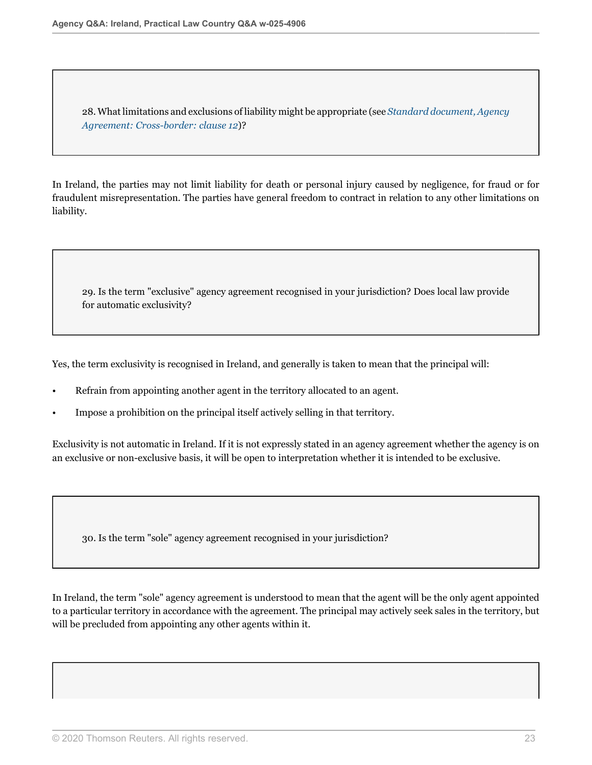28. What limitations and exclusions of liability might be appropriate (see *[Standard document, Agency](http://uk.practicallaw.thomsonreuters.com/4-101-7451?originationContext=document&vr=3.0&rs=PLUK1.0&transitionType=DocumentItem&contextData=(sc.Default)#co_anchor_a673196) [Agreement: Cross-border: clause 12](http://uk.practicallaw.thomsonreuters.com/4-101-7451?originationContext=document&vr=3.0&rs=PLUK1.0&transitionType=DocumentItem&contextData=(sc.Default)#co_anchor_a673196)*)?

In Ireland, the parties may not limit liability for death or personal injury caused by negligence, for fraud or for fraudulent misrepresentation. The parties have general freedom to contract in relation to any other limitations on liability.

29. Is the term "exclusive" agency agreement recognised in your jurisdiction? Does local law provide for automatic exclusivity?

Yes, the term exclusivity is recognised in Ireland, and generally is taken to mean that the principal will:

- Refrain from appointing another agent in the territory allocated to an agent.
- Impose a prohibition on the principal itself actively selling in that territory.

Exclusivity is not automatic in Ireland. If it is not expressly stated in an agency agreement whether the agency is on an exclusive or non-exclusive basis, it will be open to interpretation whether it is intended to be exclusive.

30. Is the term "sole" agency agreement recognised in your jurisdiction?

In Ireland, the term "sole" agency agreement is understood to mean that the agent will be the only agent appointed to a particular territory in accordance with the agreement. The principal may actively seek sales in the territory, but will be precluded from appointing any other agents within it.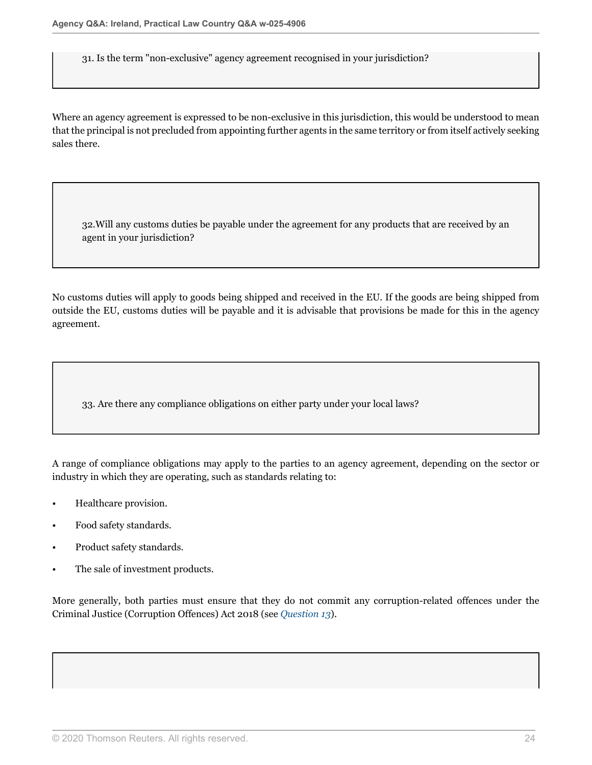31. Is the term "non-exclusive" agency agreement recognised in your jurisdiction?

Where an agency agreement is expressed to be non-exclusive in this jurisdiction, this would be understood to mean that the principal is not precluded from appointing further agents in the same territory or from itself actively seeking sales there.

32.Will any customs duties be payable under the agreement for any products that are received by an agent in your jurisdiction?

No customs duties will apply to goods being shipped and received in the EU. If the goods are being shipped from outside the EU, customs duties will be payable and it is advisable that provisions be made for this in the agency agreement.

33. Are there any compliance obligations on either party under your local laws?

A range of compliance obligations may apply to the parties to an agency agreement, depending on the sector or industry in which they are operating, such as standards relating to:

- Healthcare provision.
- Food safety standards.
- Product safety standards.
- The sale of investment products.

More generally, both parties must ensure that they do not commit any corruption-related offences under the Criminal Justice (Corruption Offences) Act 2018 (see *[Question 13](#page-12-0)*).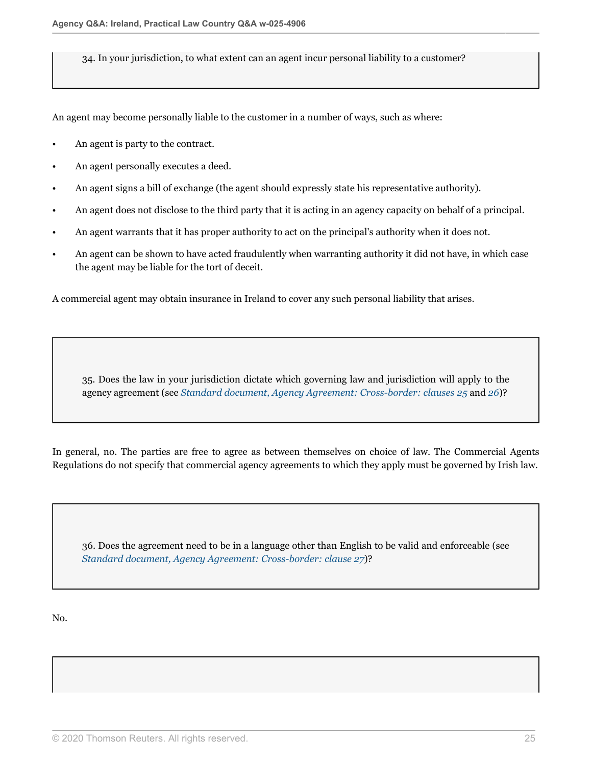34. In your jurisdiction, to what extent can an agent incur personal liability to a customer?

An agent may become personally liable to the customer in a number of ways, such as where:

- An agent is party to the contract.
- An agent personally executes a deed.
- An agent signs a bill of exchange (the agent should expressly state his representative authority).
- An agent does not disclose to the third party that it is acting in an agency capacity on behalf of a principal.
- An agent warrants that it has proper authority to act on the principal's authority when it does not.
- An agent can be shown to have acted fraudulently when warranting authority it did not have, in which case the agent may be liable for the tort of deceit.

A commercial agent may obtain insurance in Ireland to cover any such personal liability that arises.

35. Does the law in your jurisdiction dictate which governing law and jurisdiction will apply to the agency agreement (see *[Standard document, Agency Agreement: Cross-border: clauses 25](http://uk.practicallaw.thomsonreuters.com/4-101-7451?originationContext=document&vr=3.0&rs=PLUK1.0&transitionType=DocumentItem&contextData=(sc.Default)#co_anchor_a571372)* and *[26](http://uk.practicallaw.thomsonreuters.com/4-101-7451?originationContext=document&vr=3.0&rs=PLUK1.0&transitionType=DocumentItem&contextData=(sc.Default)#co_anchor_a921195)*)?

In general, no. The parties are free to agree as between themselves on choice of law. The Commercial Agents Regulations do not specify that commercial agency agreements to which they apply must be governed by Irish law.

36. Does the agreement need to be in a language other than English to be valid and enforceable (see *[Standard document, Agency Agreement: Cross-border: clause 27](http://uk.practicallaw.thomsonreuters.com/4-101-7451?originationContext=document&vr=3.0&rs=PLUK1.0&transitionType=DocumentItem&contextData=(sc.Default)#co_anchor_a989468)*)?

No.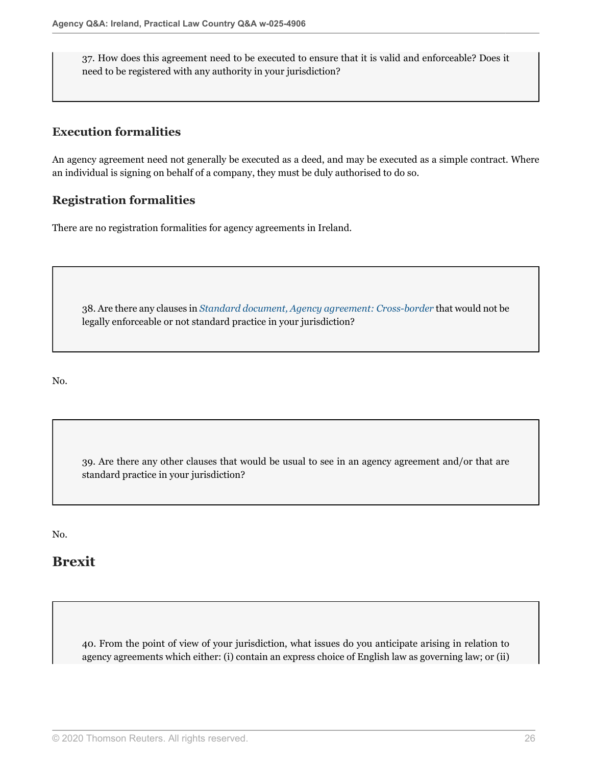37. How does this agreement need to be executed to ensure that it is valid and enforceable? Does it need to be registered with any authority in your jurisdiction?

### **Execution formalities**

An agency agreement need not generally be executed as a deed, and may be executed as a simple contract. Where an individual is signing on behalf of a company, they must be duly authorised to do so.

### **Registration formalities**

There are no registration formalities for agency agreements in Ireland.

38. Are there any clauses in *[Standard document, Agency agreement: Cross-border](http://uk.practicallaw.thomsonreuters.com/4-101-7451?originationContext=document&vr=3.0&rs=PLUK1.0&transitionType=DocumentItem&contextData=(sc.Default))* that would not be legally enforceable or not standard practice in your jurisdiction?

No.

39. Are there any other clauses that would be usual to see in an agency agreement and/or that are standard practice in your jurisdiction?

No.

# **Brexit**

<span id="page-25-0"></span>40. From the point of view of your jurisdiction, what issues do you anticipate arising in relation to agency agreements which either: (i) contain an express choice of English law as governing law; or (ii)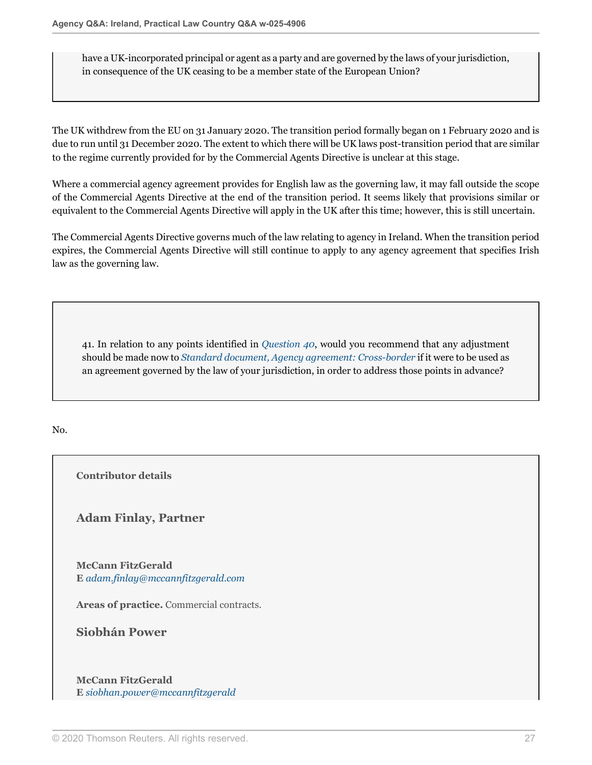have a UK-incorporated principal or agent as a party and are governed by the laws of your jurisdiction, in consequence of the UK ceasing to be a member state of the European Union?

The UK withdrew from the EU on 31 January 2020. The transition period formally began on 1 February 2020 and is due to run until 31 December 2020. The extent to which there will be UK laws post-transition period that are similar to the regime currently provided for by the Commercial Agents Directive is unclear at this stage.

Where a commercial agency agreement provides for English law as the governing law, it may fall outside the scope of the Commercial Agents Directive at the end of the transition period. It seems likely that provisions similar or equivalent to the Commercial Agents Directive will apply in the UK after this time; however, this is still uncertain.

The Commercial Agents Directive governs much of the law relating to agency in Ireland. When the transition period expires, the Commercial Agents Directive will still continue to apply to any agency agreement that specifies Irish law as the governing law.

41. In relation to any points identified in *[Question 40](#page-25-0)*, would you recommend that any adjustment should be made now to *[Standard document, Agency agreement: Cross-border](http://uk.practicallaw.thomsonreuters.com/4-101-7451?originationContext=document&vr=3.0&rs=PLUK1.0&transitionType=DocumentItem&contextData=(sc.Default))* if it were to be used as an agreement governed by the law of your jurisdiction, in order to address those points in advance?

No.

**Contributor details**

**Adam Finlay, Partner**

**McCann FitzGerald E** *[adam.finlay@mccannfitzgerald.com](mailto:adam.finlay@mccannfitzgerald.com)*

**Areas of practice.** Commercial contracts.

**Siobhán Power**

**McCann FitzGerald E** *[siobhan.power@mccannfitzgerald](mailto:siobhan.power@mccannfitzgerald)*